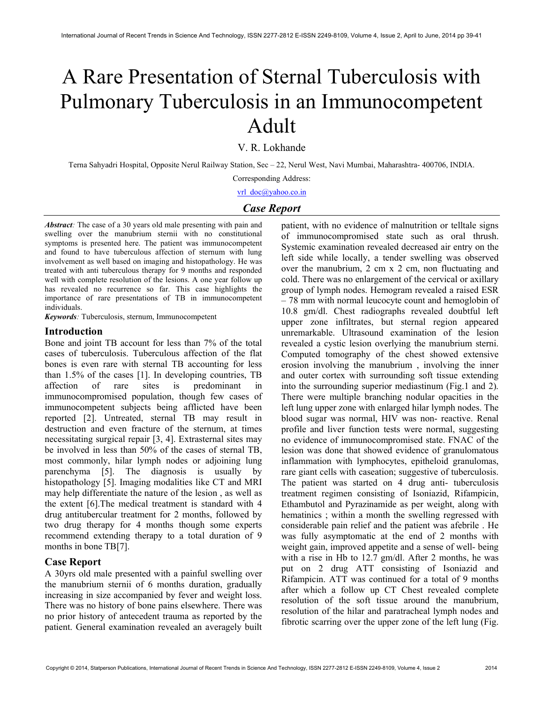# A Rare Presentation of Sternal Tuberculosis with Pulmonary Tuberculosis in an Immunocompetent Adult

V. R. Lokhande

Terna Sahyadri Hospital, Opposite Nerul Railway Station, Sec – 22, Nerul West, Navi Mumbai, Maharashtra- 400706, INDIA.

Corresponding Address:

vrl\_doc@yahoo.co.in

## Case Report

Abstract: The case of a 30 years old male presenting with pain and swelling over the manubrium sternii with no constitutional symptoms is presented here. The patient was immunocompetent and found to have tuberculous affection of sternum with lung involvement as well based on imaging and histopathology. He was treated with anti tuberculous therapy for 9 months and responded well with complete resolution of the lesions. A one year follow up has revealed no recurrence so far. This case highlights the importance of rare presentations of TB in immunocompetent individuals.

Keywords: Tuberculosis, sternum, Immunocompetent

#### Introduction

Bone and joint TB account for less than 7% of the total cases of tuberculosis. Tuberculous affection of the flat bones is even rare with sternal TB accounting for less than 1.5% of the cases [1]. In developing countries, TB affection of rare sites is predominant in immunocompromised population, though few cases of immunocompetent subjects being afflicted have been reported [2]. Untreated, sternal TB may result in destruction and even fracture of the sternum, at times necessitating surgical repair [3, 4]. Extrasternal sites may be involved in less than 50% of the cases of sternal TB, most commonly, hilar lymph nodes or adjoining lung parenchyma [5]. The diagnosis is usually by histopathology [5]. Imaging modalities like CT and MRI may help differentiate the nature of the lesion , as well as the extent [6].The medical treatment is standard with 4 drug antitubercular treatment for 2 months, followed by two drug therapy for 4 months though some experts recommend extending therapy to a total duration of 9 months in bone TB[7].

## Case Report

A 30yrs old male presented with a painful swelling over the manubrium sternii of 6 months duration, gradually increasing in size accompanied by fever and weight loss. There was no history of bone pains elsewhere. There was no prior history of antecedent trauma as reported by the patient. General examination revealed an averagely built patient, with no evidence of malnutrition or telltale signs of immunocompromised state such as oral thrush. Systemic examination revealed decreased air entry on the left side while locally, a tender swelling was observed over the manubrium, 2 cm x 2 cm, non fluctuating and cold. There was no enlargement of the cervical or axillary group of lymph nodes. Hemogram revealed a raised ESR – 78 mm with normal leucocyte count and hemoglobin of 10.8 gm/dl. Chest radiographs revealed doubtful left upper zone infiltrates, but sternal region appeared unremarkable. Ultrasound examination of the lesion revealed a cystic lesion overlying the manubrium sterni. Computed tomography of the chest showed extensive erosion involving the manubrium , involving the inner and outer cortex with surrounding soft tissue extending into the surrounding superior mediastinum (Fig.1 and 2). There were multiple branching nodular opacities in the left lung upper zone with enlarged hilar lymph nodes. The blood sugar was normal, HIV was non- reactive. Renal profile and liver function tests were normal, suggesting no evidence of immunocompromised state. FNAC of the lesion was done that showed evidence of granulomatous inflammation with lymphocytes, epitheloid granulomas, rare giant cells with caseation; suggestive of tuberculosis. The patient was started on 4 drug anti- tuberculosis treatment regimen consisting of Isoniazid, Rifampicin, Ethambutol and Pyrazinamide as per weight, along with hematinics ; within a month the swelling regressed with considerable pain relief and the patient was afebrile . He was fully asymptomatic at the end of 2 months with weight gain, improved appetite and a sense of well- being with a rise in Hb to 12.7 gm/dl. After 2 months, he was put on 2 drug ATT consisting of Isoniazid and Rifampicin. ATT was continued for a total of 9 months after which a follow up CT Chest revealed complete resolution of the soft tissue around the manubrium, resolution of the hilar and paratracheal lymph nodes and fibrotic scarring over the upper zone of the left lung (Fig.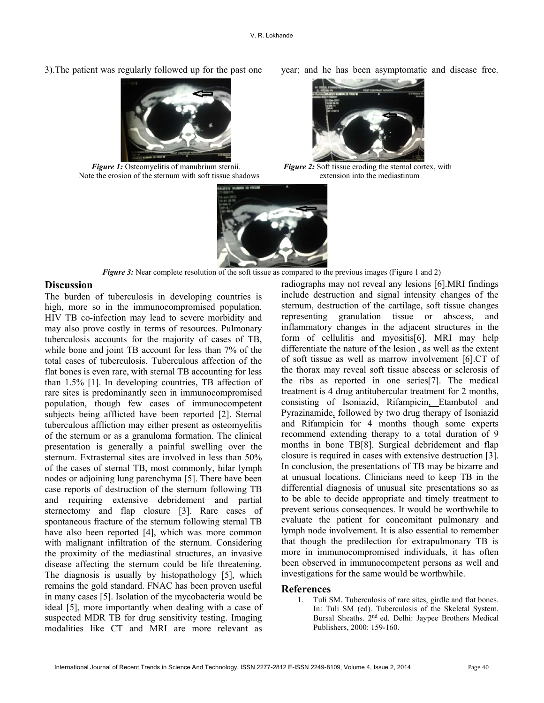**Figure 1:** Osteomyelitis of manubrium sternii. Note the erosion of the sternum with soft tissue shadows extension into the mediastinum

3).The patient was regularly followed up for the past one year; and he has been asymptomatic and disease free.



Figure 2: Soft tissue eroding the sternal cortex, with



Figure 3: Near complete resolution of the soft tissue as compared to the previous images (Figure 1 and 2)

## **Discussion**

The burden of tuberculosis in developing countries is high, more so in the immunocompromised population. HIV TB co-infection may lead to severe morbidity and may also prove costly in terms of resources. Pulmonary tuberculosis accounts for the majority of cases of TB, while bone and joint TB account for less than 7% of the total cases of tuberculosis. Tuberculous affection of the flat bones is even rare, with sternal TB accounting for less than 1.5% [1]. In developing countries, TB affection of rare sites is predominantly seen in immunocompromised population, though few cases of immunocompetent subjects being afflicted have been reported [2]. Sternal tuberculous affliction may either present as osteomyelitis of the sternum or as a granuloma formation. The clinical presentation is generally a painful swelling over the sternum. Extrasternal sites are involved in less than 50% of the cases of sternal TB, most commonly, hilar lymph nodes or adjoining lung parenchyma [5]. There have been case reports of destruction of the sternum following TB and requiring extensive debridement and partial sternectomy and flap closure [3]. Rare cases of spontaneous fracture of the sternum following sternal TB have also been reported [4], which was more common with malignant infiltration of the sternum. Considering the proximity of the mediastinal structures, an invasive disease affecting the sternum could be life threatening. The diagnosis is usually by histopathology [5], which remains the gold standard. FNAC has been proven useful in many cases [5]. Isolation of the mycobacteria would be ideal [5], more importantly when dealing with a case of suspected MDR TB for drug sensitivity testing. Imaging modalities like CT and MRI are more relevant as

radiographs may not reveal any lesions [6].MRI findings include destruction and signal intensity changes of the sternum, destruction of the cartilage, soft tissue changes representing granulation tissue or abscess, and inflammatory changes in the adjacent structures in the form of cellulitis and myositis[6]. MRI may help differentiate the nature of the lesion , as well as the extent of soft tissue as well as marrow involvement [6].CT of the thorax may reveal soft tissue abscess or sclerosis of the ribs as reported in one series[7]. The medical treatment is 4 drug antitubercular treatment for 2 months, consisting of Isoniazid, Rifampicin, Etambutol and Pyrazinamide, followed by two drug therapy of Isoniazid and Rifampicin for 4 months though some experts recommend extending therapy to a total duration of 9 months in bone TB[8]. Surgical debridement and flap closure is required in cases with extensive destruction [3]. In conclusion, the presentations of TB may be bizarre and at unusual locations. Clinicians need to keep TB in the differential diagnosis of unusual site presentations so as to be able to decide appropriate and timely treatment to prevent serious consequences. It would be worthwhile to evaluate the patient for concomitant pulmonary and lymph node involvement. It is also essential to remember that though the predilection for extrapulmonary TB is more in immunocompromised individuals, it has often been observed in immunocompetent persons as well and investigations for the same would be worthwhile.

## References

1. Tuli SM. Tuberculosis of rare sites, girdle and flat bones. In: Tuli SM (ed). Tuberculosis of the Skeletal System. Bursal Sheaths. 2nd ed. Delhi: Jaypee Brothers Medical Publishers, 2000: 159-160.